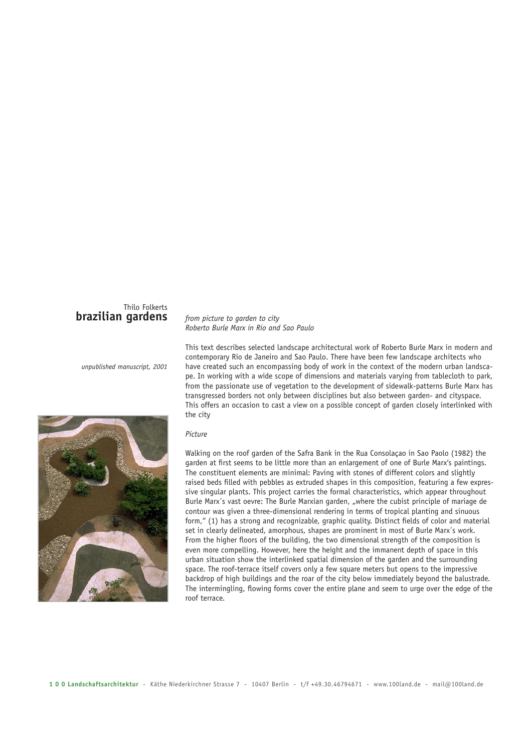## Thilo Folkerts **brazilian gardens**

*unpublished manuscript, 2001*



## *from picture to garden to city Roberto Burle Marx in Rio and Sao Paulo*

This text describes selected landscape architectural work of Roberto Burle Marx in modern and contemporary Rio de Janeiro and Sao Paulo. There have been few landscape architects who have created such an encompassing body of work in the context of the modern urban landscape. In working with a wide scope of dimensions and materials varying from tablecloth to park, from the passionate use of vegetation to the development of sidewalk-patterns Burle Marx has transgressed borders not only between disciplines but also between garden- and cityspace. This offers an occasion to cast a view on a possible concept of garden closely interlinked with the city

## *Picture*

Walking on the roof garden of the Safra Bank in the Rua Consolaçao in Sao Paolo (1982) the garden at first seems to be little more than an enlargement of one of Burle Marx's paintings. The constituent elements are minimal: Paving with stones of different colors and slightly raised beds filled with pebbles as extruded shapes in this composition, featuring a few expressive singular plants. This project carries the formal characteristics, which appear throughout Burle Marx's vast oevre: The Burle Marxian garden, "where the cubist principle of mariage de contour was given a three-dimensional rendering in terms of tropical planting and sinuous form," (1) has a strong and recognizable, graphic quality. Distinct fields of color and material set in clearly delineated, amorphous, shapes are prominent in most of Burle Marx´s work. From the higher floors of the building, the two dimensional strength of the composition is even more compelling. However, here the height and the immanent depth of space in this urban situation show the interlinked spatial dimension of the garden and the surrounding space. The roof-terrace itself covers only a few square meters but opens to the impressive backdrop of high buildings and the roar of the city below immediately beyond the balustrade. The intermingling, flowing forms cover the entire plane and seem to urge over the edge of the roof terrace.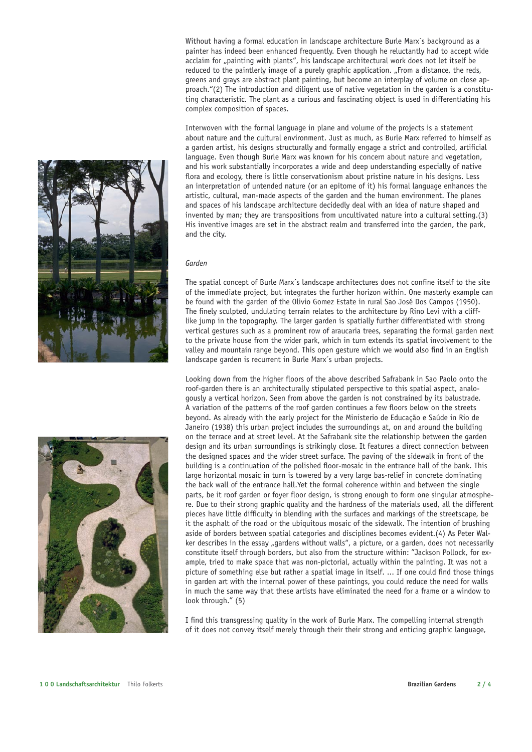and the city. *Garden*



Without having a formal education in landscape architecture Burle Marx´s background as a painter has indeed been enhanced frequently. Even though he reluctantly had to accept wide acclaim for "painting with plants", his landscape architectural work does not let itself be reduced to the paintlerly image of a purely graphic application. "From a distance, the reds, greens and grays are abstract plant painting, but become an interplay of volume on close approach."(2) The introduction and diligent use of native vegetation in the garden is a constituting characteristic. The plant as a curious and fascinating object is used in differentiating his complex composition of spaces.

Interwoven with the formal language in plane and volume of the projects is a statement about nature and the cultural environment. Just as much, as Burle Marx referred to himself as a garden artist, his designs structurally and formally engage a strict and controlled, artificial language. Even though Burle Marx was known for his concern about nature and vegetation, and his work substantially incorporates a wide and deep understanding especially of native flora and ecology, there is little conservationism about pristine nature in his designs. Less an interpretation of untended nature (or an epitome of it) his formal language enhances the artistic, cultural, man-made aspects of the garden and the human environment. The planes and spaces of his landscape architecture decidedly deal with an idea of nature shaped and invented by man; they are transpositions from uncultivated nature into a cultural setting.(3) His inventive images are set in the abstract realm and transferred into the garden, the park,

The spatial concept of Burle Marx´s landscape architectures does not confine itself to the site of the immediate project, but integrates the further horizon within. One masterly example can be found with the garden of the Olivio Gomez Estate in rural Sao José Dos Campos (1950). The finely sculpted, undulating terrain relates to the architecture by Rino Levi with a clifflike jump in the topography. The larger garden is spatially further differentiated with strong vertical gestures such as a prominent row of araucaria trees, separating the formal garden next to the private house from the wider park, which in turn extends its spatial involvement to the valley and mountain range beyond. This open gesture which we would also find in an English landscape garden is recurrent in Burle Marx´s urban projects.

Looking down from the higher floors of the above described Safrabank in Sao Paolo onto the roof-garden there is an architecturally stipulated perspective to this spatial aspect, analogously a vertical horizon. Seen from above the garden is not constrained by its balustrade. A variation of the patterns of the roof garden continues a few floors below on the streets beyond. As already with the early project for the Ministerio de Educação e Saúde in Rio de Janeiro (1938) this urban project includes the surroundings at, on and around the building on the terrace and at street level. At the Safrabank site the relationship between the garden design and its urban surroundings is strikingly close. It features a direct connection between the designed spaces and the wider street surface. The paving of the sidewalk in front of the building is a continuation of the polished floor-mosaic in the entrance hall of the bank. This large horizontal mosaic in turn is towered by a very large bas-relief in concrete dominating the back wall of the entrance hall.Yet the formal coherence within and between the single parts, be it roof garden or foyer floor design, is strong enough to form one singular atmosphere. Due to their strong graphic quality and the hardness of the materials used, all the different pieces have little difficulty in blending with the surfaces and markings of the streetscape, be it the asphalt of the road or the ubiquitous mosaic of the sidewalk. The intention of brushing aside of borders between spatial categories and disciplines becomes evident.(4) As Peter Walker describes in the essay "gardens without walls", a picture, or a garden, does not necessarily constitute itself through borders, but also from the structure within: "Jackson Pollock, for example, tried to make space that was non-pictorial, actually within the painting. It was not a picture of something else but rather a spatial image in itself. ... If one could find those things in garden art with the internal power of these paintings, you could reduce the need for walls in much the same way that these artists have eliminated the need for a frame or a window to look through." (5)

I find this transgressing quality in the work of Burle Marx. The compelling internal strength of it does not convey itself merely through their their strong and enticing graphic language,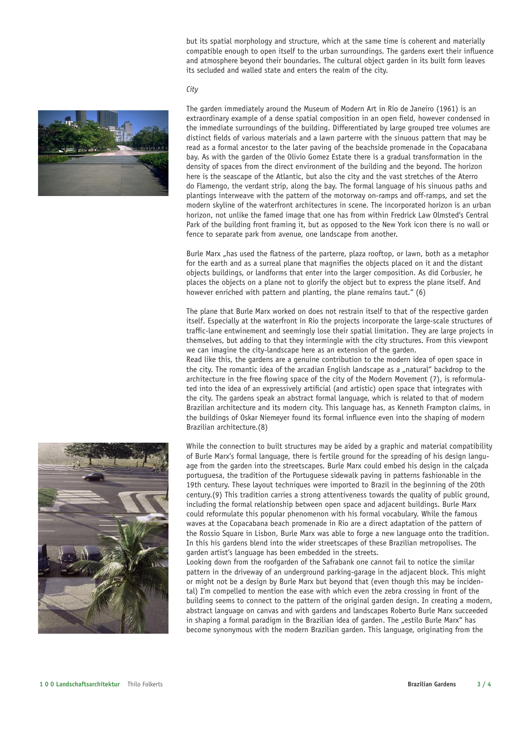but its spatial morphology and structure, which at the same time is coherent and materially compatible enough to open itself to the urban surroundings. The gardens exert their influence and atmosphere beyond their boundaries. The cultural object garden in its built form leaves its secluded and walled state and enters the realm of the city.

The garden immediately around the Museum of Modern Art in Rio de Janeiro (1961) is an extraordinary example of a dense spatial composition in an open field, however condensed in the immediate surroundings of the building. Differentiated by large grouped tree volumes are distinct fields of various materials and a lawn parterre with the sinuous pattern that may be read as a formal ancestor to the later paving of the beachside promenade in the Copacabana bay. As with the garden of the Olivio Gomez Estate there is a gradual transformation in the density of spaces from the direct environment of the building and the beyond. The horizon here is the seascape of the Atlantic, but also the city and the vast stretches of the Aterro

*City*



do Flamengo, the verdant strip, along the bay. The formal language of his sinuous paths and plantings interweave with the pattern of the motorway on-ramps and off-ramps, and set the modern skyline of the waterfront architectures in scene. The incorporated horizon is an urban horizon, not unlike the famed image that one has from within Fredrick Law Olmsted's Central Park of the building front framing it, but as opposed to the New York icon there is no wall or fence to separate park from avenue, one landscape from another. Burle Marx "has used the flatness of the parterre, plaza rooftop, or lawn, both as a metaphor

for the earth and as a surreal plane that magnifies the objects placed on it and the distant objects buildings, or landforms that enter into the larger composition. As did Corbusier, he places the objects on a plane not to glorify the object but to express the plane itself. And however enriched with pattern and planting, the plane remains taut." (6)

The plane that Burle Marx worked on does not restrain itself to that of the respective garden itself. Especially at the waterfront in Rio the projects incorporate the large-scale structures of traffic-lane entwinement and seemingly lose their spatial limitation. They are large projects in themselves, but adding to that they intermingle with the city structures. From this viewpont we can imagine the city-landscape here as an extension of the garden.

Read like this, the gardens are a genuine contribution to the modern idea of open space in the city. The romantic idea of the arcadian English landscape as a "natural" backdrop to the architecture in the free flowing space of the city of the Modern Movement (7), is reformulated into the idea of an expressively artificial (and artistic) open space that integrates with the city. The gardens speak an abstract formal language, which is related to that of modern Brazilian architecture and its modern city. This language has, as Kenneth Frampton claims, in the buildings of Oskar Niemeyer found its formal influence even into the shaping of modern Brazilian architecture.(8)

While the connection to built structures may be aided by a graphic and material compatibility of Burle Marx's formal language, there is fertile ground for the spreading of his design language from the garden into the streetscapes. Burle Marx could embed his design in the calçada portuguesa, the tradition of the Portuguese sidewalk paving in patterns fashionable in the 19th century. These layout techniques were imported to Brazil in the beginning of the 20th century.(9) This tradition carries a strong attentiveness towards the quality of public ground, including the formal relationship between open space and adjacent buildings. Burle Marx could reformulate this popular phenomenon with his formal vocabulary. While the famous waves at the Copacabana beach promenade in Rio are a direct adaptation of the pattern of the Rossio Square in Lisbon, Burle Marx was able to forge a new language onto the tradition. In this his gardens blend into the wider streetscapes of these Brazilian metropolises. The garden artist's language has been embedded in the streets.

Looking down from the roofgarden of the Safrabank one cannot fail to notice the similar pattern in the driveway of an underground parking-garage in the adjacent block. This might or might not be a design by Burle Marx but beyond that (even though this may be incidental) I'm compelled to mention the ease with which even the zebra crossing in front of the building seems to connect to the pattern of the original garden design. In creating a modern, abstract language on canvas and with gardens and landscapes Roberto Burle Marx succeeded in shaping a formal paradigm in the Brazilian idea of garden. The "estilo Burle Marx" has become synonymous with the modern Brazilian garden. This language, originating from the